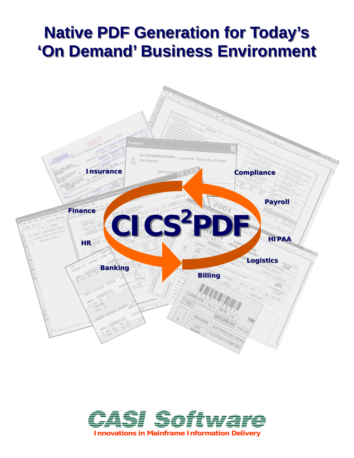# **Native PDF Generation for Today's 'On Demand' Business Environment 'On Demand' Business Environment**



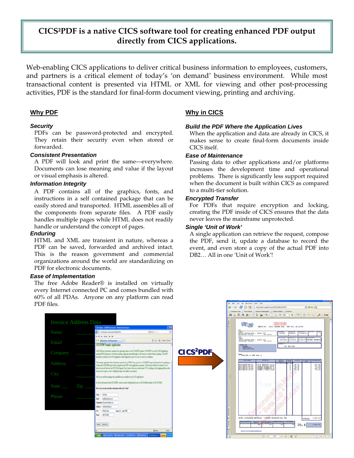## **CICS²PDF is a native CICS software tool for creating enhanced PDF output directly from CICS applications.**

Web-enabling CICS applications to deliver critical business information to employees, customers, and partners is a critical element of today's 'on demand' business environment. While most transactional content is presented via HTML or XML for viewing and other post-processing activities, PDF is the standard for final-form document viewing, printing and archiving.

#### **Why PDF**

#### *Security*

PDFs can be password-protected and encrypted. They retain their security even when stored or forwarded.

#### *Consistent Presentation*

A PDF will look and print the same—everywhere. Documents can lose meaning and value if the layout or visual emphasis is altered.

#### *Information Integrity*

A PDF contains all of the graphics, fonts, and instructions in a self contained package that can be easily stored and transported. HTML assembles all of the components from separate files. A PDF easily handles multiple pages while HTML does not readily handle or understand the concept of pages.

#### *Enduring*

HTML and XML are transient in nature, whereas a PDF can be saved, forwarded and archived intact. This is the reason government and commercial organizations around the world are standardizing on PDF for electronic documents.

#### *Ease of Implementation*

The free Adobe Reader® is installed on virtually every Internet connected PC and comes bundled with 60% of all PDAs. Anyone on any platform can read PDF files.

#### **Why in CICS**

#### *Build the PDF Where the Application Lives*

When the application and data are already in CICS, it makes sense to create final-form documents inside CICS itself.

#### *Ease of Maintenance*

Passing data to other applications and/or platforms increases the development time and operational problems. There is significantly less support required when the document is built within CICS as compared to a multi-tier solution.

#### *Encrypted Transfer*

For PDFs that require encryption and locking, creating the PDF inside of CICS ensures that the data never leaves the mainframe unprotected.

#### *Single 'Unit of Work'*

A single application can retrieve the request, compose the PDF, send it, update a database to record the event, and even store a copy of the actual PDF into DB2… All in one 'Unit of Work'!

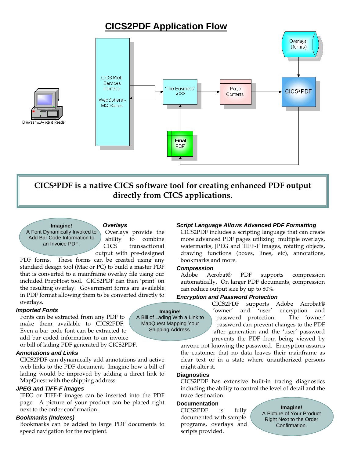# **CICS2PDF Application Flow**





**Imagine!** A Font Dynamically Invoked to Add Bar Code Information to an Invoice PDF.

Browser w/Acrobat Reader

#### *Overlays*

Overlays provide the ability to combine CICS transactional output with pre-designed

PDF forms. These forms can be created using any standard design tool (Mac or PC) to build a master PDF that is converted to a mainframe overlay file using our included PrepHost tool. CICS2PDF can then 'print' on the resulting overlay. Government forms are available in PDF format allowing them to be converted directly to overlays.

#### *Imported Fonts*

Fonts can be extracted from any PDF to make them available to CICS2PDF. Even a bar code font can be extracted to add bar coded information to an invoice

or bill of lading PDF generated by CICS2PDF.

#### *Annotations and Links*

CICS2PDF can dynamically add annotations and active web links to the PDF document. Imagine how a bill of lading would be improved by adding a direct link to MapQuest with the shipping address.

#### *JPEG and TIFF-F images*

JPEG or TIFF-F images can be inserted into the PDF page. A picture of your product can be placed right next to the order confirmation.

#### *Bookmarks (Indexes)*

Bookmarks can be added to large PDF documents to speed navigation for the recipient.

#### *Script Language Allows Advanced PDF Formatting*

CICS2PDF includes a scripting language that can create more advanced PDF pages utilizing multiple overlays, watermarks, JPEG and TIFF-F images, rotating objects, drawing functions (boxes, lines, etc), annotations, bookmarks and more.

#### *Compression*

Adobe Acrobat® PDF supports compression automatically. On larger PDF documents, compression can reduce output size by up to 80%.

#### *Encryption and Password Protection*

CICS2PDF supports Adobe Acrobat® 'owner' and 'user' encryption and password protection. The 'owner' password can prevent changes to the PDF after generation and the 'user' password prevents the PDF from being viewed by

anyone not knowing the password. Encryption assures the customer that no data leaves their mainframe as clear text or in a state where unauthorized persons might alter it.

#### **Diagnostics**

CICS2PDF has extensive built-in tracing diagnostics including the ability to control the level of detail and the trace destination.

#### **Documentation**

CICS2PDF is fully documented with sample programs, overlays and scripts provided.

**Imagine!** A Picture of Your Product Right Next to the Order Confirmation.

**Imagine!** A Bill of Lading With a Link to MapQuest Mapping Your Shipping Address.